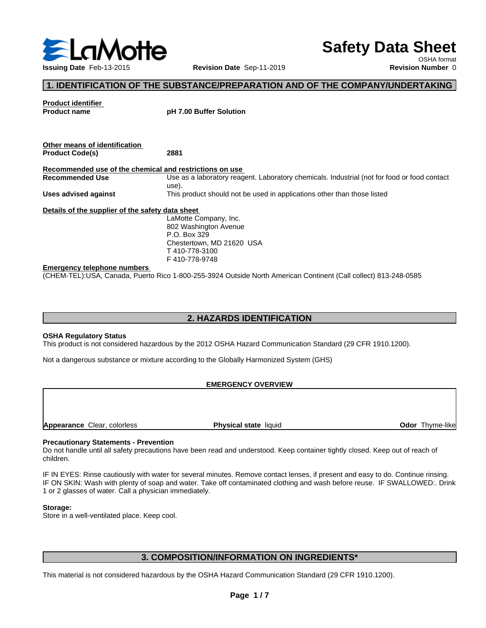

# **Safety Data Sheet**

OSHA format

## **1. IDENTIFICATION OF THE SUBSTANCE/PREPARATION AND OF THE COMPANY/UNDERTAKING**

**Product identifier Product name pH 7.00 Buffer Solution Other means of identification Product Code(s) 2881 Recommended use of the chemical and restrictions on use Recommended Use** Use as a laboratory reagent. Laboratory chemicals. Industrial (not for food or food contact use). **Uses advised against** This product should not be used in applications other than those listed **Details of the supplier of the safety data sheet** LaMotte Company, Inc. 802 Washington Avenue P.O. Box 329 Chestertown, MD 21620 USA T 410-778-3100 F 410-778-9748

#### **Emergency telephone numbers**

(CHEM-TEL):USA, Canada, Puerto Rico 1-800-255-3924 Outside North American Continent (Call collect) 813-248-0585

## **2. HAZARDS IDENTIFICATION**

#### **OSHA Regulatory Status**

This product is not considered hazardous by the 2012 OSHA Hazard Communication Standard (29 CFR 1910.1200).

Not a dangerous substance or mixture according to the Globally Harmonized System (GHS)

## **EMERGENCY OVERVIEW**

**Appearance** Clear, colorless **Physical state** liquid **Physical state** liquid **Odor** Thyme-like

## **Precautionary Statements - Prevention**

Do not handle until all safety precautions have been read and understood. Keep container tightly closed. Keep out of reach of children.

IF IN EYES: Rinse cautiously with water for several minutes. Remove contact lenses, if present and easy to do. Continue rinsing. IF ON SKIN: Wash with plenty of soap and water. Take off contaminated clothing and wash before reuse. IF SWALLOWED:. Drink 1 or 2 glasses of water. Call a physician immediately.

#### **Storage:**

Store in a well-ventilated place. Keep cool.

## **3. COMPOSITION/INFORMATION ON INGREDIENTS\***

This material is not considered hazardous by the OSHA Hazard Communication Standard (29 CFR 1910.1200).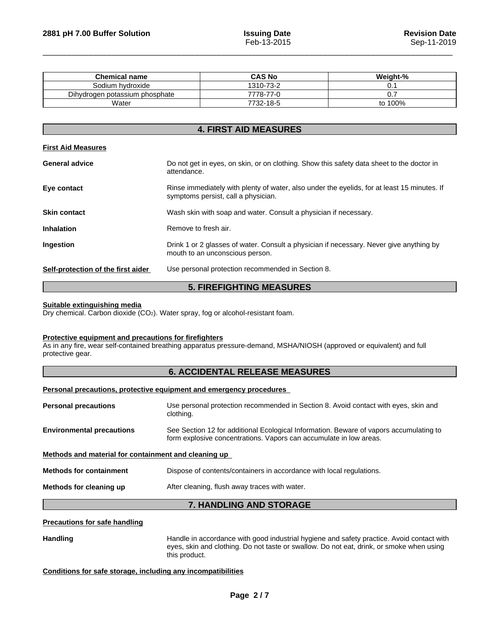| <b>Chemical name</b>           | <b>CAS No</b>          | Weight-% |
|--------------------------------|------------------------|----------|
| Sodium hydroxide               | 1310-73-2              | v.       |
| Dihydrogen potassium phosphate | $7778 - 1.$<br>$-77-0$ | ັ.       |
| Water                          | 7732-18-5              | to 100%  |

## **4. FIRST AID MEASURES**

## **First Aid Measures**

| <b>General advice</b>              | Do not get in eyes, on skin, or on clothing. Show this safety data sheet to the doctor in<br>attendance.                           |
|------------------------------------|------------------------------------------------------------------------------------------------------------------------------------|
| Eye contact                        | Rinse immediately with plenty of water, also under the eyelids, for at least 15 minutes. If<br>symptoms persist, call a physician. |
| <b>Skin contact</b>                | Wash skin with soap and water. Consult a physician if necessary.                                                                   |
| <b>Inhalation</b>                  | Remove to fresh air.                                                                                                               |
| Ingestion                          | Drink 1 or 2 glasses of water. Consult a physician if necessary. Never give anything by<br>mouth to an unconscious person.         |
| Self-protection of the first aider | Use personal protection recommended in Section 8.                                                                                  |

## **5. FIREFIGHTING MEASURES**

#### **Suitable extinguishing media**

Dry chemical. Carbon dioxide (CO2). Water spray, fog or alcohol-resistant foam.

## **Protective equipment and precautions for firefighters**

As in any fire, wear self-contained breathing apparatus pressure-demand, MSHA/NIOSH (approved or equivalent) and full protective gear.

## **6. ACCIDENTAL RELEASE MEASURES**

**Personal precautions, protective equipment and emergency procedures**

| <b>Personal precautions</b>                          | Use personal protection recommended in Section 8. Avoid contact with eyes, skin and<br>clothing.                                                             |
|------------------------------------------------------|--------------------------------------------------------------------------------------------------------------------------------------------------------------|
| <b>Environmental precautions</b>                     | See Section 12 for additional Ecological Information. Beware of vapors accumulating to<br>form explosive concentrations. Vapors can accumulate in low areas. |
| Methods and material for containment and cleaning up |                                                                                                                                                              |
| <b>Methods for containment</b>                       | Dispose of contents/containers in accordance with local regulations.                                                                                         |
| Methods for cleaning up                              | After cleaning, flush away traces with water.                                                                                                                |
|                                                      | <b>7. HANDLING AND STORAGE</b>                                                                                                                               |

## **Precautions for safe handling**

Handling **Handling** Handle in accordance with good industrial hygiene and safety practice. Avoid contact with eyes, skin and clothing. Do not taste or swallow. Do not eat, drink, or smoke when using this product.

## **Conditions for safe storage, including any incompatibilities**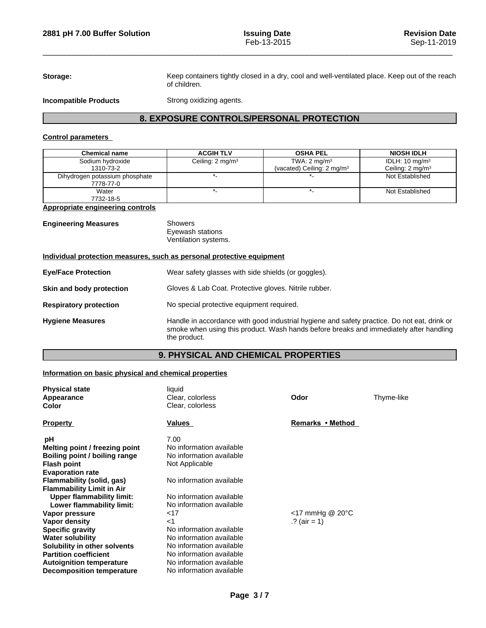Storage: Keep containers tightly closed in a dry, cool and well-ventilated place. Keep out of the reach

**Incompatible Products** Strong oxidizing agents.

of children.

## **8. EXPOSURE CONTROLS/PERSONAL PROTECTION**

## **Control parameters**

| <b>Chemical name</b>           | <b>ACGIH TLV</b>             | <b>OSHA PEL</b>                       | <b>NIOSH IDLH</b>           |
|--------------------------------|------------------------------|---------------------------------------|-----------------------------|
| Sodium hydroxide               | Ceiling: 2 mg/m <sup>3</sup> | TWA: $2 \text{ mg/m}^3$               | IDLH: $10 \text{ mg/m}^3$   |
| 1310-73-2                      |                              | (vacated) Ceiling: $2 \text{ mg/m}^3$ | Ceiling: $2 \text{ mg/m}^3$ |
| Dihydrogen potassium phosphate |                              |                                       | Not Established             |
| 7778-77-0                      |                              |                                       |                             |
| Water                          |                              |                                       | Not Established             |
| 7732-18-5                      |                              |                                       |                             |

## **Appropriate engineering controls**

| <b>Engineering Measures</b> | Showers<br>Eyewash stations |
|-----------------------------|-----------------------------|
|                             | Ventilation systems.        |

## **Individual protection measures, such as personal protective equipment**

| <b>Eye/Face Protection</b>    | Wear safety glasses with side shields (or goggles).                                                                                                                                                   |
|-------------------------------|-------------------------------------------------------------------------------------------------------------------------------------------------------------------------------------------------------|
| Skin and body protection      | Gloves & Lab Coat. Protective gloves. Nitrile rubber.                                                                                                                                                 |
| <b>Respiratory protection</b> | No special protective equipment required.                                                                                                                                                             |
| <b>Hygiene Measures</b>       | Handle in accordance with good industrial hygiene and safety practice. Do not eat, drink or<br>smoke when using this product. Wash hands before breaks and immediately after handling<br>the product. |

## **9. PHYSICAL AND CHEMICAL PROPERTIES**

## **Information on basic physical and chemical properties**

| <b>Physical state</b>            | liquid                   | Odor                         | Thyme-like |  |
|----------------------------------|--------------------------|------------------------------|------------|--|
| Appearance                       | Clear, colorless         |                              |            |  |
| <b>Color</b>                     | Clear, colorless         |                              |            |  |
| <b>Property</b>                  | Values                   | Remarks • Method             |            |  |
| рH                               | 7.00                     |                              |            |  |
| Melting point / freezing point   | No information available |                              |            |  |
| Boiling point / boiling range    | No information available |                              |            |  |
| <b>Flash point</b>               | Not Applicable           |                              |            |  |
| <b>Evaporation rate</b>          |                          |                              |            |  |
| Flammability (solid, gas)        | No information available |                              |            |  |
| <b>Flammability Limit in Air</b> |                          |                              |            |  |
| <b>Upper flammability limit:</b> | No information available |                              |            |  |
| Lower flammability limit:        | No information available |                              |            |  |
| Vapor pressure                   | 17                       | $<$ 17 mmHg @ 20 $\degree$ C |            |  |
| Vapor density                    | $<$ 1                    | .? (air = 1)                 |            |  |
| <b>Specific gravity</b>          | No information available |                              |            |  |
| <b>Water solubility</b>          | No information available |                              |            |  |
| Solubility in other solvents     | No information available |                              |            |  |
| <b>Partition coefficient</b>     | No information available |                              |            |  |
| <b>Autoignition temperature</b>  | No information available |                              |            |  |
| <b>Decomposition temperature</b> | No information available |                              |            |  |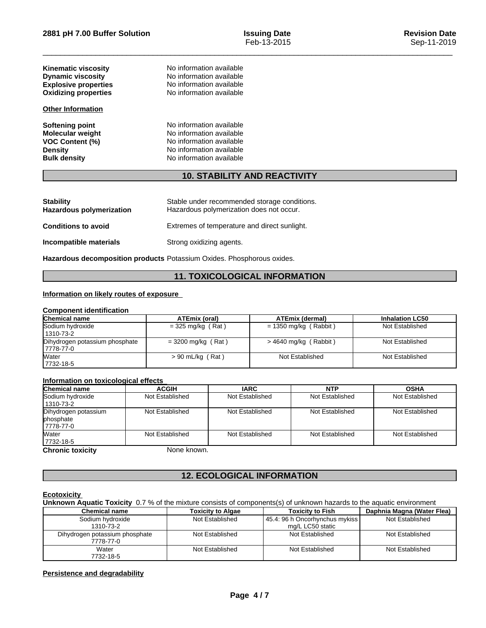| <b>Kinematic viscosity</b><br><b>Dynamic viscosity</b><br><b>Explosive properties</b><br><b>Oxidizing properties</b> | No information available<br>No information available<br>No information available<br>No information available                             |  |
|----------------------------------------------------------------------------------------------------------------------|------------------------------------------------------------------------------------------------------------------------------------------|--|
| <b>Other Information</b>                                                                                             |                                                                                                                                          |  |
| <b>Softening point</b><br><b>Molecular weight</b><br><b>VOC Content (%)</b><br><b>Density</b><br><b>Bulk density</b> | No information available<br>No information available<br>No information available<br>No information available<br>No information available |  |

## **10. STABILITY AND REACTIVITY**

| <b>Stability</b><br><b>Hazardous polymerization</b> | Stable under recommended storage conditions.<br>Hazardous polymerization does not occur. |
|-----------------------------------------------------|------------------------------------------------------------------------------------------|
| <b>Conditions to avoid</b>                          | Extremes of temperature and direct sunlight.                                             |
| Incompatible materials                              | Strong oxidizing agents.                                                                 |

**Hazardous decomposition products** Potassium Oxides. Phosphorous oxides.

## **11. TOXICOLOGICAL INFORMATION**

## **Information on likely routes of exposure**

## **Component identification**

| <b>Chemical name</b>           | ATEmix (oral)        | <b>ATEmix (dermal)</b>  | <b>Inhalation LC50</b> |
|--------------------------------|----------------------|-------------------------|------------------------|
| Sodium hydroxide               | $=$ 325 mg/kg (Rat)  | $= 1350$ mg/kg (Rabbit) | Not Established        |
| 1310-73-2                      |                      |                         |                        |
| Dihydrogen potassium phosphate | $= 3200$ mg/kg (Rat) | $>$ 4640 mg/kg (Rabbit) | Not Established        |
| 17778-77-0                     |                      |                         |                        |
| Water                          | $> 90$ mL/kg (Rat)   | Not Established         | Not Established        |
| 7732-18-5                      |                      |                         |                        |

## **Information on toxicological effects**

| <b>Chemical name</b>                            | <b>ACGIH</b>    | <b>IARC</b>     | <b>NTP</b>      | <b>OSHA</b>     |
|-------------------------------------------------|-----------------|-----------------|-----------------|-----------------|
| Sodium hydroxide<br>1310-73-2                   | Not Established | Not Established | Not Established | Not Established |
| Dihydrogen potassium<br>phosphate<br>17778-77-0 | Not Established | Not Established | Not Established | Not Established |
| <b>Water</b><br>7732-18-5                       | Not Established | Not Established | Not Established | Not Established |
| <b>Chronic toxicity</b>                         | None known.     |                 |                 |                 |

## **12. ECOLOGICAL INFORMATION**

## **Ecotoxicity**

**Unknown Aquatic Toxicity** 0.7 % of the mixture consists of components(s) of unknown hazards to the aquatic environment

| <b>Chemical name</b>           | <b>Toxicity to Algae</b> | <b>Toxicity to Fish</b>        | Daphnia Magna (Water Flea) |
|--------------------------------|--------------------------|--------------------------------|----------------------------|
| Sodium hydroxide               | Not Established          | 45.4: 96 h Oncorhynchus mykiss | Not Established            |
| 1310-73-2                      |                          | mg/L LC50 static               |                            |
| Dihydrogen potassium phosphate | Not Established          | Not Established                | Not Established            |
| 7778-77-0                      |                          |                                |                            |
| Water                          | Not Established          | Not Established                | Not Established            |
| 7732-18-5                      |                          |                                |                            |

## **Persistence and degradability**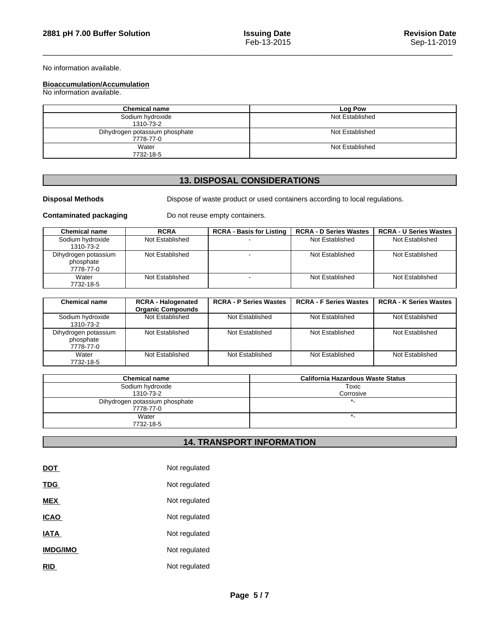No information available.

## **Bioaccumulation/Accumulation**

No information available.

| <b>Chemical name</b>                        | Log Pow         |
|---------------------------------------------|-----------------|
| Sodium hydroxide<br>1310-73-2               | Not Established |
| Dihydrogen potassium phosphate<br>7778-77-0 | Not Established |
| Water<br>7732-18-5                          | Not Established |

## **13. DISPOSAL CONSIDERATIONS**

**Disposal Methods** Dispose of waste product or used containers according to local regulations.

**Contaminated packaging** Do not reuse empty containers.

| <b>Chemical name</b>                           | <b>RCRA</b>     | <b>RCRA - Basis for Listing</b> | <b>RCRA - D Series Wastes</b> | <b>RCRA - U Series Wastes</b> |
|------------------------------------------------|-----------------|---------------------------------|-------------------------------|-------------------------------|
| Sodium hydroxide<br>1310-73-2                  | Not Established |                                 | Not Established               | Not Established               |
| Dihydrogen potassium<br>phosphate<br>7778-77-0 | Not Established |                                 | Not Established               | Not Established               |
| Water<br>7732-18-5                             | Not Established |                                 | Not Established               | Not Established               |

| <b>Chemical name</b> | <b>RCRA - Halogenated</b> | <b>RCRA - P Series Wastes</b> | <b>RCRA - F Series Wastes</b> | <b>RCRA - K Series Wastes</b> |
|----------------------|---------------------------|-------------------------------|-------------------------------|-------------------------------|
|                      | <b>Organic Compounds</b>  |                               |                               |                               |
| Sodium hydroxide     | Not Established           | Not Established               | Not Established               | Not Established               |
| 1310-73-2            |                           |                               |                               |                               |
| Dihydrogen potassium | Not Established           | Not Established               | Not Established               | Not Established               |
| phosphate            |                           |                               |                               |                               |
| 7778-77-0            |                           |                               |                               |                               |
| Water                | Not Established           | Not Established               | Not Established               | Not Established               |
| 7732-18-5            |                           |                               |                               |                               |

| <b>Chemical name</b>           | California Hazardous Waste Status |
|--------------------------------|-----------------------------------|
| Sodium hydroxide               | Toxic                             |
| 1310-73-2                      | Corrosive                         |
| Dihydrogen potassium phosphate |                                   |
| 7778-77-0                      |                                   |
| Water                          |                                   |
| 7732-18-5                      |                                   |

## **14. TRANSPORT INFORMATION**

| <b>DOT</b>      | Not regulated |
|-----------------|---------------|
| <b>TDG</b>      | Not regulated |
| <b>MEX</b>      | Not regulated |
| <b>ICAO</b>     | Not regulated |
| <b>IATA</b>     | Not regulated |
| <b>IMDG/IMO</b> | Not regulated |
| <b>RID</b>      | Not regulated |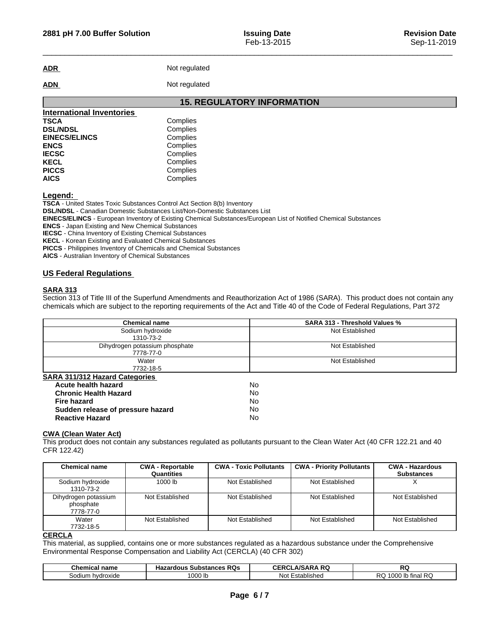**ADR** Not regulated

ADN Not regulated

|                                  | <b>15. REGULATORY INFORMATION</b> |
|----------------------------------|-----------------------------------|
| <b>International Inventories</b> |                                   |
| <b>TSCA</b>                      | Complies                          |
| <b>DSL/NDSL</b>                  | Complies                          |
| <b>EINECS/ELINCS</b>             | Complies                          |
| <b>ENCS</b>                      | Complies                          |
| <b>IECSC</b>                     | Complies                          |
| <b>KECL</b>                      | Complies                          |
| <b>PICCS</b>                     | Complies                          |
| <b>AICS</b>                      | Complies                          |

**Legend:** 

**TSCA** - United States Toxic Substances Control Act Section 8(b) Inventory

**DSL/NDSL** - Canadian Domestic Substances List/Non-Domestic Substances List

**EINECS/ELINCS** - European Inventory of Existing Chemical Substances/European List of Notified Chemical Substances

**ENCS** - Japan Existing and New Chemical Substances

**IECSC** - China Inventory of Existing Chemical Substances

**KECL** - Korean Existing and Evaluated Chemical Substances

**PICCS** - Philippines Inventory of Chemicals and Chemical Substances

**AICS** - Australian Inventory of Chemical Substances

## **US Federal Regulations**

## **SARA 313**

Section 313 of Title III of the Superfund Amendments and Reauthorization Act of 1986 (SARA). This product does not contain any chemicals which are subject to the reporting requirements of the Act and Title 40 of the Code of Federal Regulations, Part 372

| <b>Chemical name</b>                        | <b>SARA 313 - Threshold Values %</b> |  |
|---------------------------------------------|--------------------------------------|--|
| Sodium hydroxide<br>1310-73-2               | Not Established                      |  |
| Dihydrogen potassium phosphate<br>7778-77-0 | Not Established                      |  |
| Water<br>7732-18-5                          | Not Established                      |  |
| <b>SARA 311/312 Hazard Categories</b>       |                                      |  |
| Acute health hazard                         | <b>No</b>                            |  |
| <b>Chronic Health Hazard</b>                | <b>No</b>                            |  |
| <b>Fire hazard</b>                          | No.                                  |  |
| Sudden release of pressure hazard           | No.                                  |  |
| <b>Reactive Hazard</b>                      | No                                   |  |

#### **CWA (Clean WaterAct)**

This product does not contain any substances regulated as pollutants pursuant to the Clean Water Act (40 CFR 122.21 and 40 CFR 122.42)

| <b>Chemical name</b>                           | <b>CWA - Reportable</b><br>Quantities | <b>CWA - Toxic Pollutants</b> | <b>CWA - Priority Pollutants</b> | <b>CWA - Hazardous</b><br><b>Substances</b> |
|------------------------------------------------|---------------------------------------|-------------------------------|----------------------------------|---------------------------------------------|
| Sodium hydroxide<br>1310-73-2                  | 1000 lb                               | Not Established               | Not Established                  |                                             |
| Dihydrogen potassium<br>phosphate<br>7778-77-0 | Not Established                       | Not Established               | Not Established                  | Not Established                             |
| Water<br>7732-18-5                             | Not Established                       | Not Established               | Not Established                  | Not Established                             |

#### **CERCLA**

This material, as supplied, contains one or more substances regulated as a hazardous substance under the Comprehensive Environmental Response Compensation and Liability Act (CERCLA) (40 CFR 302)

| <b>Chemical name</b> | <b>RQs</b><br>Hazardous<br><b>Substances</b> | A RQ<br><b>A/SARA</b><br>CERCL | RC.                                               |
|----------------------|----------------------------------------------|--------------------------------|---------------------------------------------------|
| hvdroxide<br>sodium  | 000 lb                                       | $\cdots$<br>Established<br>Not | <b>RC</b><br>1000<br>tınal<br><u>ooo</u><br>w<br> |